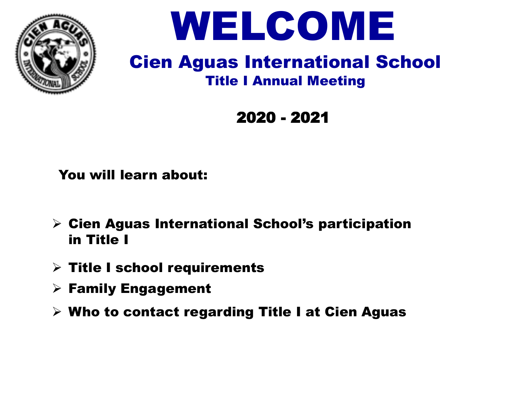



### Cien Aguas International School Title I Annual Meeting

2020 - 2021

You will learn about:

- $\triangleright$  Cien Aguas International School's participation in Title I
- $\triangleright$  Title I school requirements
- $\triangleright$  Family Engagement
- $\triangleright$  Who to contact regarding Title I at Cien Aguas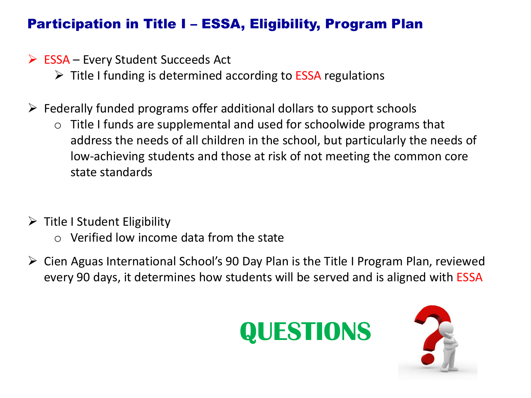### Participation in Title I – ESSA, Eligibility, Program Plan

- $\triangleright$  ESSA Every Student Succeeds Act
	- $\triangleright$  Title I funding is determined according to ESSA regulations
- $\triangleright$  Federally funded programs offer additional dollars to support schools
	- $\circ$  Title I funds are supplemental and used for schoolwide programs that address the needs of all children in the school, but particularly the needs of low-achieving students and those at risk of not meeting the common core state standards
- $\triangleright$  Title I Student Eligibility
	- $\circ$  Verified low income data from the state
- Cien Aguas International School's 90 Day Plan is the Title I Program Plan, reviewed every 90 days, it determines how students will be served and is aligned with ESSA



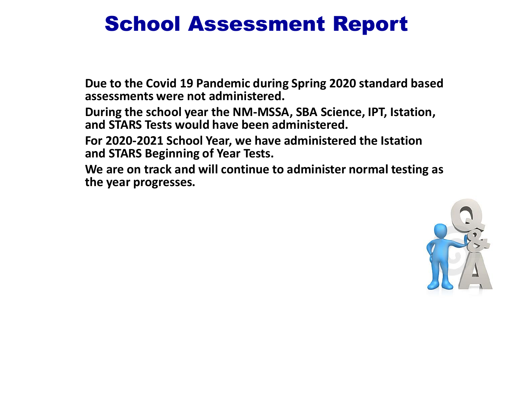## School Assessment Report

**Due to the Covid 19 Pandemic during Spring 2020 standard based assessments were not administered.**

**During the school year the NM-MSSA, SBA Science, IPT, Istation, and STARS Tests would have been administered.** 

**For 2020-2021 School Year, we have administered the Istation and STARS Beginning of Year Tests.**

**We are on track and will continue to administer normal testing as the year progresses.**

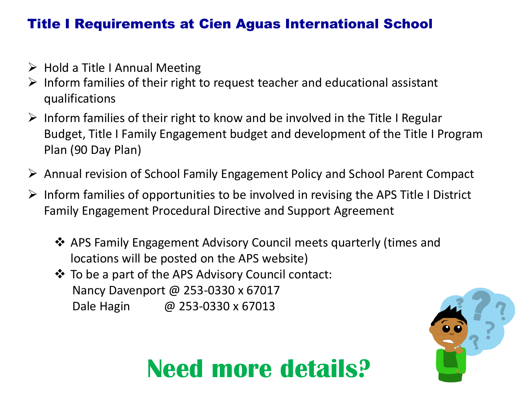#### Title I Requirements at Cien Aguas International School

- $\triangleright$  Hold a Title I Annual Meeting
- $\triangleright$  Inform families of their right to request teacher and educational assistant qualifications
- $\triangleright$  Inform families of their right to know and be involved in the Title I Regular Budget, Title I Family Engagement budget and development of the Title I Program Plan (90 Day Plan)
- Annual revision of School Family Engagement Policy and School Parent Compact
- $\triangleright$  Inform families of opportunities to be involved in revising the APS Title I District Family Engagement Procedural Directive and Support Agreement
	- APS Family Engagement Advisory Council meets quarterly (times and locations will be posted on the APS website)
	- To be a part of the APS Advisory Council contact: Nancy Davenport @ 253-0330 x 67017 Dale Hagin @ 253-0330 x 67013

# **Need more details?**

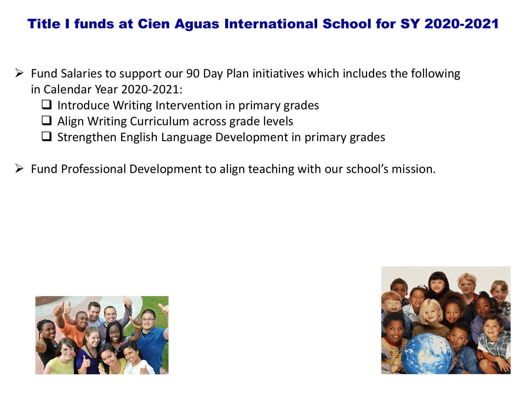#### Title I funds at Cien Aguas International School for SY 2020-2021

- $\triangleright$  Fund Salaries to support our 90 Day Plan initiatives which includes the following in Calendar Year 2020-2021:
	- $\Box$  Introduce Writing Intervention in primary grades
	- $\Box$  Align Writing Curriculum across grade levels
	- $\Box$  Strengthen English Language Development in primary grades
- $\triangleright$  Fund Professional Development to align teaching with our school's mission.



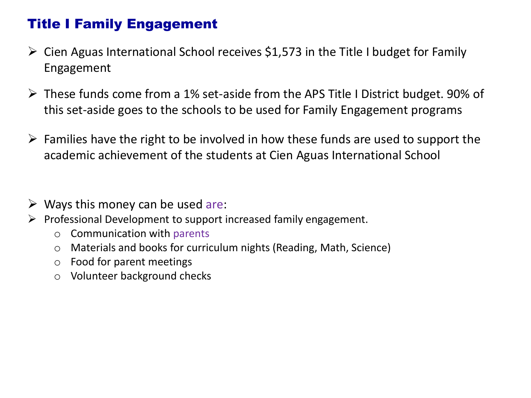### Title I Family Engagement

- $\triangleright$  Cien Aguas International School receives \$1,573 in the Title I budget for Family Engagement
- $\triangleright$  These funds come from a 1% set-aside from the APS Title I District budget. 90% of this set-aside goes to the schools to be used for Family Engagement programs
- $\triangleright$  Families have the right to be involved in how these funds are used to support the academic achievement of the students at Cien Aguas International School
- $\triangleright$  Ways this money can be used are:
- $\triangleright$  Professional Development to support increased family engagement.
	- o Communication with parents
	- o Materials and books for curriculum nights (Reading, Math, Science)
	- o Food for parent meetings
	- o Volunteer background checks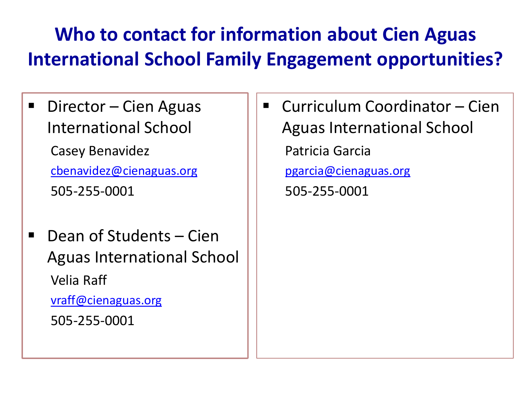## **Who to contact for information about Cien Aguas International School Family Engagement opportunities?**

- Director Cien Aguas International School Casey Benavidez [cbenavidez@cienaguas.org](mailto:cbenavidez@cienaguas.org) 505-255-0001
- Dean of Students Cien Aguas International School Velia Raff [vraff@cienaguas.org](mailto:cbenavidez@cienaguas.org) 505-255-0001
- Curriculum Coordinator Cien Aguas International School Patricia Garcia [pgarcia@cienaguas.org](mailto:pgarcia@cienaguas.org) 505-255-0001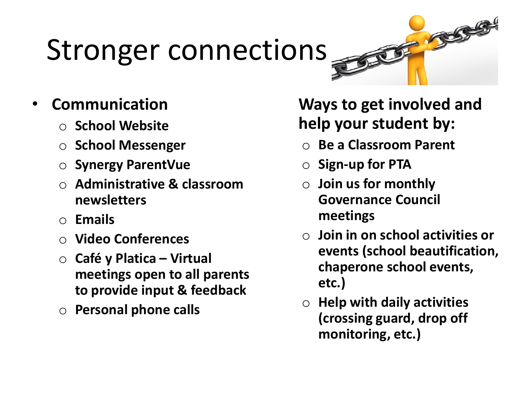# Stronger connections

## • **Communication**

- o **School Website**
- o **School Messenger**
- o **Synergy ParentVue**
- o **Administrative & classroom newsletters**
- o **Emails**
- o **Video Conferences**
- o **Café y Platica – Virtual meetings open to all parents to provide input & feedback**
- o **Personal phone calls**

## **Ways to get involved and help your student by:**

 $\mathcal{F}$ 

- o **Be a Classroom Parent**
- o **Sign-up for PTA**
- o **Join us for monthly Governance Council meetings**
- o **Join in on school activities or events (school beautification, chaperone school events, etc.)**
- o **Help with daily activities (crossing guard, drop off monitoring, etc.)**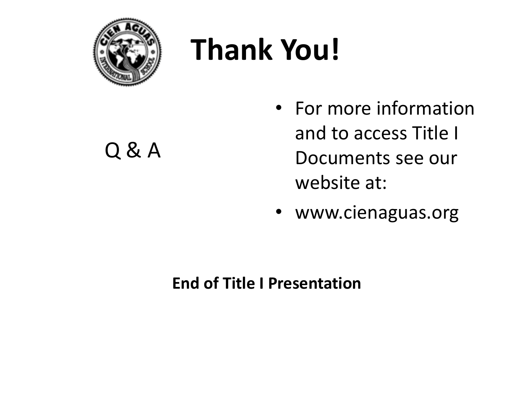

# **Thank You!**

Q & A

- For more information and to access Title I Documents see our website at:
- www.cienaguas.org

### **End of Title I Presentation**